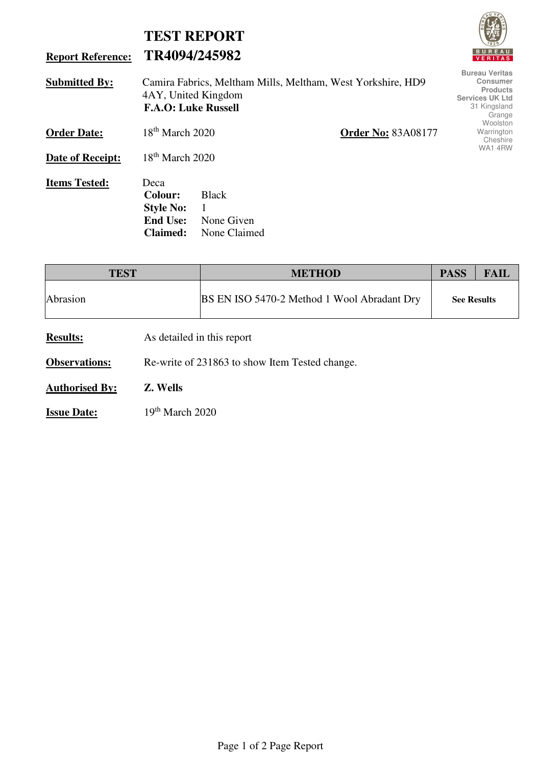|                          | <b>TEST REPORT</b>                                                        |                                                 |                                                             | <b>LATE</b>                                                                                                     |
|--------------------------|---------------------------------------------------------------------------|-------------------------------------------------|-------------------------------------------------------------|-----------------------------------------------------------------------------------------------------------------|
| <b>Report Reference:</b> | TR4094/245982                                                             |                                                 |                                                             | <b>BUREAU</b><br><b>VERITAS</b>                                                                                 |
| <b>Submitted By:</b>     | 4AY, United Kingdom<br><b>F.A.O: Luke Russell</b>                         |                                                 | Camira Fabrics, Meltham Mills, Meltham, West Yorkshire, HD9 | <b>Bureau Veritas</b><br><b>Consumer</b><br><b>Products</b><br><b>Services UK Ltd</b><br>31 Kingsland<br>Grange |
| <b>Order Date:</b>       | $18th$ March 2020                                                         |                                                 | <b>Order No: 83A08177</b>                                   | Woolston<br>Warrington<br>Cheshire                                                                              |
| Date of Receipt:         | $18th$ March 2020                                                         |                                                 | WA14RW                                                      |                                                                                                                 |
| <b>Items Tested:</b>     | Deca<br>Colour:<br><b>Style No:</b><br><b>End Use:</b><br><b>Claimed:</b> | <b>Black</b><br>1<br>None Given<br>None Claimed |                                                             |                                                                                                                 |

**FULL** 

| <b>TEST</b>           |                                                | <b>METHOD</b>                               |                    | <b>FAIL</b> |
|-----------------------|------------------------------------------------|---------------------------------------------|--------------------|-------------|
| Abrasion              |                                                | BS EN ISO 5470-2 Method 1 Wool Abradant Dry | <b>See Results</b> |             |
| <b>Results:</b>       | As detailed in this report                     |                                             |                    |             |
| <b>Observations:</b>  | Re-write of 231863 to show Item Tested change. |                                             |                    |             |
| <b>Authorised By:</b> | Z. Wells                                       |                                             |                    |             |
| <b>Issue Date:</b>    | $19th$ March 2020                              |                                             |                    |             |